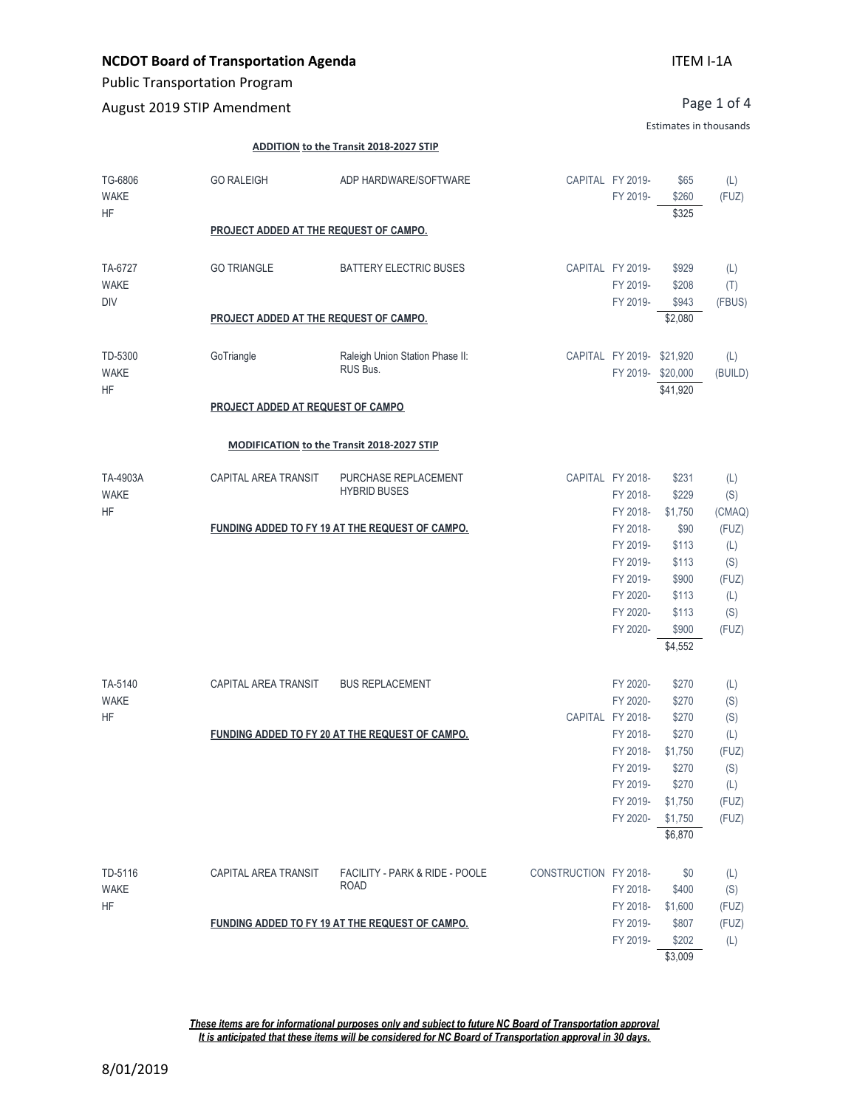# **NCDOT Board of Transportation Agenda**

Public Transportation Program

August 2019 STIP Amendment

Page 1 of 4

Estimates in thousands

#### **ADDITION to the Transit 2018-2027 STIP**

| TG-6806<br><b>WAKE</b><br><b>HF</b>  | <b>GO RALEIGH</b>                      | ADP HARDWARE/SOFTWARE                           |                       | CAPITAL FY 2019-<br>FY 2019-                                                     | \$65<br>\$260<br>\$325                                              | (L)<br>(FUZ)                                        |  |  |
|--------------------------------------|----------------------------------------|-------------------------------------------------|-----------------------|----------------------------------------------------------------------------------|---------------------------------------------------------------------|-----------------------------------------------------|--|--|
|                                      |                                        | PROJECT ADDED AT THE REQUEST OF CAMPO.          |                       |                                                                                  |                                                                     |                                                     |  |  |
| TA-6727<br><b>WAKE</b><br><b>DIV</b> | <b>GO TRIANGLE</b>                     | <b>BATTERY ELECTRIC BUSES</b>                   |                       | CAPITAL FY 2019-<br>FY 2019-<br>FY 2019-                                         | \$929<br>\$208<br>\$943                                             | (L)<br>(T)<br>(FBUS)                                |  |  |
|                                      | PROJECT ADDED AT THE REQUEST OF CAMPO. |                                                 |                       |                                                                                  | \$2,080                                                             |                                                     |  |  |
| TD-5300<br><b>WAKE</b><br><b>HF</b>  | GoTriangle                             | Raleigh Union Station Phase II:<br>RUS Bus.     |                       | CAPITAL FY 2019- \$21,920<br>FY 2019-\$20,000                                    | \$41,920                                                            | (L)<br>(BUILD)                                      |  |  |
|                                      | PROJECT ADDED AT REQUEST OF CAMPO      |                                                 |                       |                                                                                  |                                                                     |                                                     |  |  |
|                                      |                                        | MODIFICATION to the Transit 2018-2027 STIP      |                       |                                                                                  |                                                                     |                                                     |  |  |
| TA-4903A<br><b>WAKE</b><br><b>HF</b> | CAPITAL AREA TRANSIT                   | PURCHASE REPLACEMENT<br><b>HYBRID BUSES</b>     |                       | CAPITAL FY 2018-<br>FY 2018-<br>FY 2018-                                         | \$231<br>\$229<br>\$1,750                                           | (L)<br>(S)<br>(CMAQ)                                |  |  |
|                                      |                                        | FUNDING ADDED TO FY 19 AT THE REQUEST OF CAMPO. |                       | FY 2018-<br>FY 2019-<br>FY 2019-<br>FY 2019-<br>FY 2020-<br>FY 2020-<br>FY 2020- | \$90<br>\$113<br>\$113<br>\$900<br>\$113<br>\$113<br>\$900          | (FUZ)<br>(L)<br>(S)<br>(FUZ)<br>(L)<br>(S)<br>(FUZ) |  |  |
|                                      |                                        |                                                 |                       |                                                                                  | \$4,552                                                             |                                                     |  |  |
| TA-5140<br><b>WAKE</b><br><b>HF</b>  | CAPITAL AREA TRANSIT                   | <b>BUS REPLACEMENT</b>                          |                       | FY 2020-<br>FY 2020-<br>CAPITAL FY 2018-                                         | \$270<br>\$270<br>\$270                                             | (L)<br>(S)<br>(S)                                   |  |  |
|                                      |                                        | FUNDING ADDED TO FY 20 AT THE REQUEST OF CAMPO. |                       | FY 2018-<br>FY 2018-<br>FY 2019-<br>FY 2019-<br>FY 2019-<br>FY 2020-             | \$270<br>\$1,750<br>\$270<br>\$270<br>\$1,750<br>\$1,750<br>\$6,870 | (L)<br>(FUZ)<br>(S)<br>(L)<br>(FUZ)<br>(FUZ)        |  |  |
| TD-5116<br><b>WAKE</b><br><b>HF</b>  | CAPITAL AREA TRANSIT                   | FACILITY - PARK & RIDE - POOLE<br><b>ROAD</b>   | CONSTRUCTION FY 2018- | FY 2018-<br>FY 2018-                                                             | \$0<br>\$400<br>\$1,600                                             | (L)<br>(S)<br>(FUZ)                                 |  |  |
|                                      |                                        | FUNDING ADDED TO FY 19 AT THE REQUEST OF CAMPO. |                       | FY 2019-<br>FY 2019-                                                             | \$807<br>\$202<br>\$3,009                                           | (FUZ)<br>(L)                                        |  |  |

*These items are for informational purposes only and subject to future NC Board of Transportation approval It is anticipated that these items will be considered for NC Board of Transportation approval in 30 days.*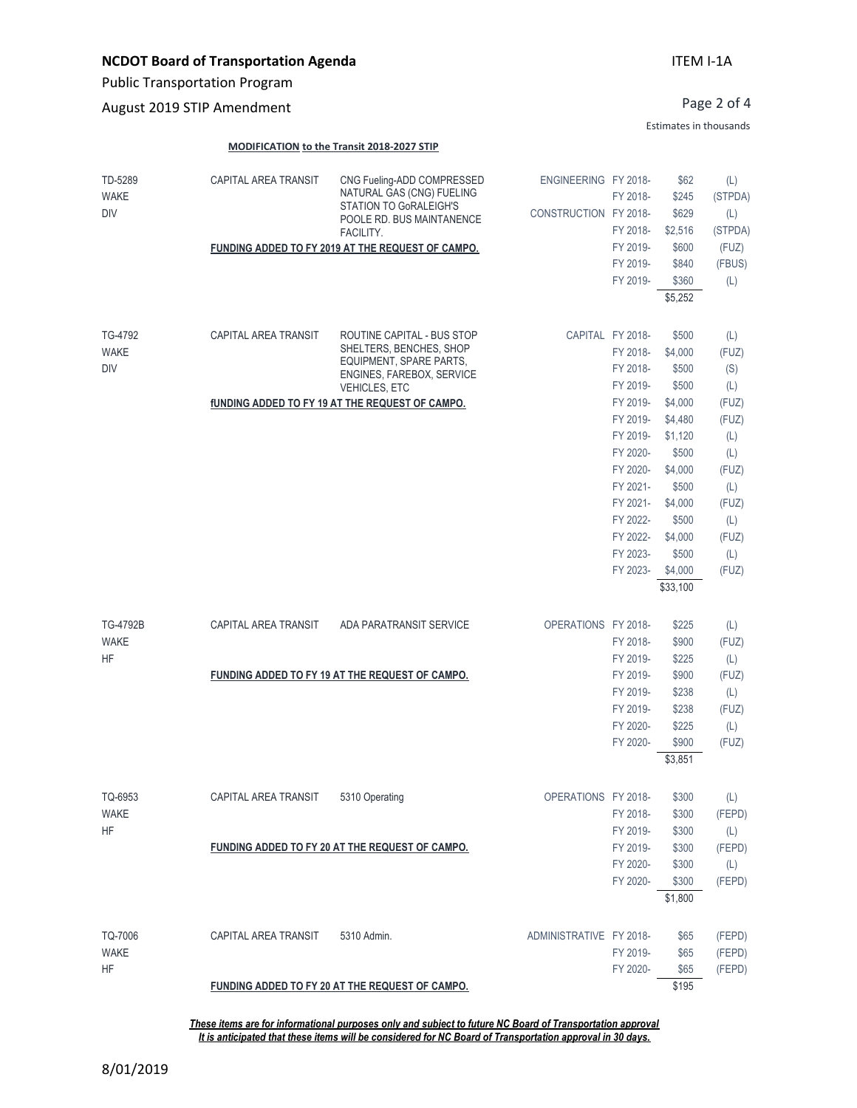Public Transportation Program

August 2019 STIP Amendment

### ITEM I-1A

Page 2 of 4

Estimates in thousands

#### **MODIFICATION to the Transit 2018-2027 STIP**

| TD-5289<br><b>WAKE</b><br><b>DIV</b> | CAPITAL AREA TRANSIT | CNG Fueling-ADD COMPRESSED<br>NATURAL GAS (CNG) FUELING<br>STATION TO GoRALEIGH'S<br>POOLE RD. BUS MAINTANENCE<br>FACILITY.<br>FUNDING ADDED TO FY 2019 AT THE REQUEST OF CAMPO.         | ENGINEERING FY 2018-<br>CONSTRUCTION FY 2018- | FY 2018-<br>FY 2018-<br>FY 2019-<br>FY 2019-<br>FY 2019-                                                                                                                                 | \$62<br>\$245<br>\$629<br>\$2,516<br>\$600<br>\$840<br>\$360<br>\$5,252                                                                                         | (L)<br>(STPDA)<br>(L)<br>(STPDA)<br>(FUZ)<br>(FBUS)<br>(L)                                                          |
|--------------------------------------|----------------------|------------------------------------------------------------------------------------------------------------------------------------------------------------------------------------------|-----------------------------------------------|------------------------------------------------------------------------------------------------------------------------------------------------------------------------------------------|-----------------------------------------------------------------------------------------------------------------------------------------------------------------|---------------------------------------------------------------------------------------------------------------------|
| TG-4792<br><b>WAKE</b><br><b>DIV</b> | CAPITAL AREA TRANSIT | ROUTINE CAPITAL - BUS STOP<br>SHELTERS, BENCHES, SHOP<br>EQUIPMENT, SPARE PARTS,<br>ENGINES, FAREBOX, SERVICE<br>VEHICLES, ETC<br><b>fUNDING ADDED TO FY 19 AT THE REQUEST OF CAMPO.</b> |                                               | CAPITAL FY 2018-<br>FY 2018-<br>FY 2018-<br>FY 2019-<br>FY 2019-<br>FY 2019-<br>FY 2019-<br>FY 2020-<br>FY 2020-<br>FY 2021-<br>FY 2021-<br>FY 2022-<br>FY 2022-<br>FY 2023-<br>FY 2023- | \$500<br>\$4,000<br>\$500<br>\$500<br>\$4,000<br>\$4,480<br>\$1,120<br>\$500<br>\$4,000<br>\$500<br>\$4,000<br>\$500<br>\$4,000<br>\$500<br>\$4,000<br>\$33,100 | (L)<br>(FUZ)<br>(S)<br>(L)<br>(FUZ)<br>(FUZ)<br>(L)<br>(L)<br>(FUZ)<br>(L)<br>(FUZ)<br>(L)<br>(FUZ)<br>(L)<br>(FUZ) |
| TG-4792B<br><b>WAKE</b><br><b>HF</b> | CAPITAL AREA TRANSIT | ADA PARATRANSIT SERVICE                                                                                                                                                                  | OPERATIONS FY 2018-                           | FY 2018-<br>FY 2019-                                                                                                                                                                     | \$225<br>\$900<br>\$225                                                                                                                                         | (L)<br>(FUZ)<br>(L)                                                                                                 |
|                                      |                      | FUNDING ADDED TO FY 19 AT THE REQUEST OF CAMPO.                                                                                                                                          |                                               | FY 2019-<br>FY 2019-<br>FY 2019-<br>FY 2020-<br>FY 2020-                                                                                                                                 | \$900<br>\$238<br>\$238<br>\$225<br>\$900<br>\$3,851                                                                                                            | (FUZ)<br>(L)<br>(FUZ)<br>(L)<br>(FUZ)                                                                               |
| TQ-6953<br><b>WAKE</b><br><b>HF</b>  | CAPITAL AREA TRANSIT | 5310 Operating<br>FUNDING ADDED TO FY 20 AT THE REQUEST OF CAMPO.                                                                                                                        | OPERATIONS FY 2018-                           | FY 2018-<br>FY 2019-<br>FY 2019-<br>FY 2020-<br>FY 2020-                                                                                                                                 | \$300<br>\$300<br>\$300<br>\$300<br>\$300<br>\$300<br>\$1,800                                                                                                   | (L)<br>(FEPD)<br>(L)<br>(FEPD)<br>(L)<br>(FEPD)                                                                     |
| TQ-7006<br><b>WAKE</b><br><b>HF</b>  | CAPITAL AREA TRANSIT | 5310 Admin.<br>FUNDING ADDED TO FY 20 AT THE REQUEST OF CAMPO.                                                                                                                           | ADMINISTRATIVE FY 2018-                       | FY 2019-<br>FY 2020-                                                                                                                                                                     | \$65<br>\$65<br>\$65<br>\$195                                                                                                                                   | (FEPD)<br>(FEPD)<br>(FEPD)                                                                                          |

*These items are for informational purposes only and subject to future NC Board of Transportation approval It is anticipated that these items will be considered for NC Board of Transportation approval in 30 days.*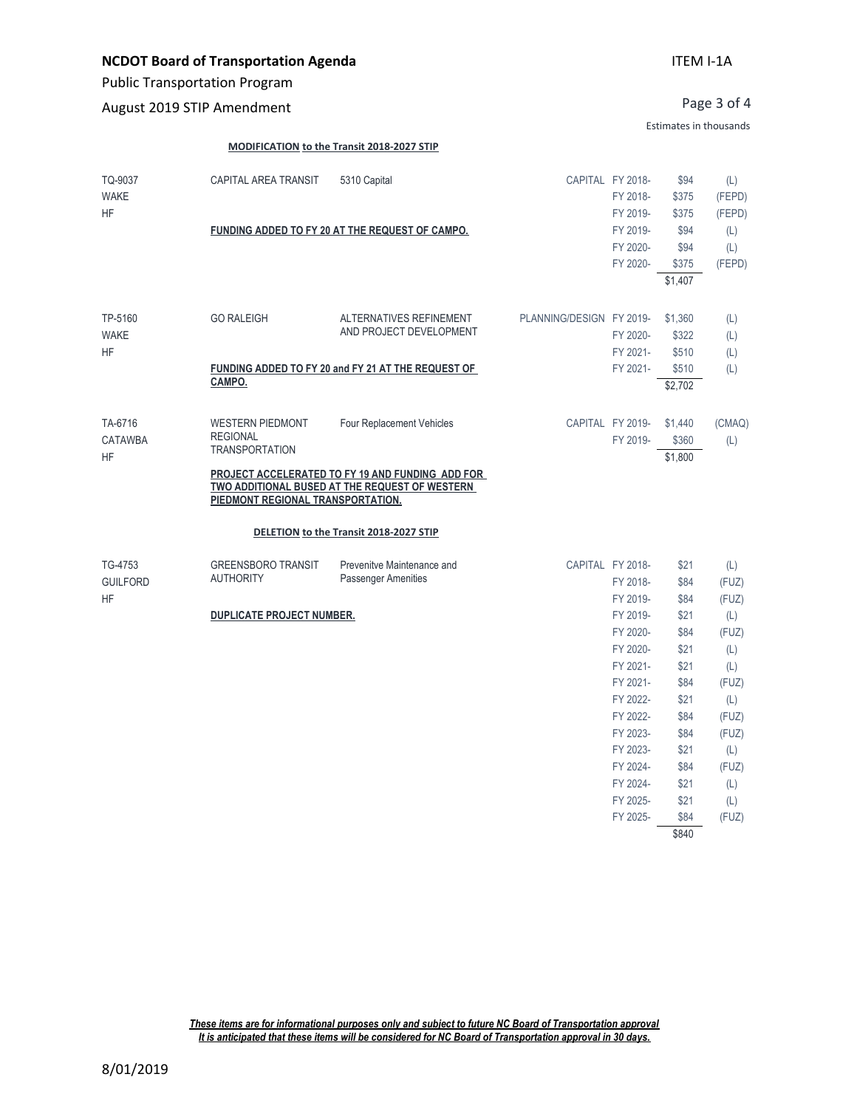# **NCDOT Board of Transportation Agenda**

Public Transportation Program

August 2019 STIP Amendment

Page 3 of 4

Estimates in thousands

FY 2024- \$21 (L) FY 2025- \$21 (L) FY 2025- \$84 (FUZ) \$840

#### **MODIFICATION to the Transit 2018-2027 STIP**

| TQ-9037<br><b>WAKE</b><br><b>HF</b>     | CAPITAL AREA TRANSIT                                                                                     | 5310 Capital                                                                                                                    |                          | CAPITAL FY 2018-<br>FY 2018-<br>FY 2019-     | \$94<br>\$375<br>\$375           | (L)<br>(FEPD)<br>(FEPD)    |
|-----------------------------------------|----------------------------------------------------------------------------------------------------------|---------------------------------------------------------------------------------------------------------------------------------|--------------------------|----------------------------------------------|----------------------------------|----------------------------|
|                                         |                                                                                                          | FUNDING ADDED TO FY 20 AT THE REQUEST OF CAMPO.                                                                                 |                          | FY 2019-<br>FY 2020-<br>FY 2020-             | \$94<br>\$94<br>\$375<br>\$1,407 | (L)<br>(L)<br>(FEPD)       |
| TP-5160<br><b>WAKE</b><br><b>HF</b>     | <b>GO RALEIGH</b>                                                                                        | ALTERNATIVES REFINEMENT<br>AND PROJECT DEVELOPMENT                                                                              | PLANNING/DESIGN FY 2019- | FY 2020-<br>FY 2021-                         | \$1,360<br>\$322<br>\$510        | (L)<br>(L)<br>(L)          |
|                                         | CAMPO.                                                                                                   | FUNDING ADDED TO FY 20 and FY 21 AT THE REQUEST OF                                                                              |                          | FY 2021-                                     | \$510<br>\$2,702                 | (L)                        |
| TA-6716<br><b>CATAWBA</b><br><b>HF</b>  | <b>WESTERN PIEDMONT</b><br><b>REGIONAL</b><br><b>TRANSPORTATION</b><br>PIEDMONT REGIONAL TRANSPORTATION. | Four Replacement Vehicles<br>PROJECT ACCELERATED TO FY 19 AND FUNDING ADD FOR<br>TWO ADDITIONAL BUSED AT THE REQUEST OF WESTERN |                          | CAPITAL FY 2019-<br>FY 2019-                 | \$1,440<br>\$360<br>\$1,800      | (CMAQ)<br>(L)              |
|                                         |                                                                                                          | DELETION to the Transit 2018-2027 STIP                                                                                          |                          |                                              |                                  |                            |
| TG-4753<br><b>GUILFORD</b><br><b>HF</b> | <b>GREENSBORO TRANSIT</b><br><b>AUTHORITY</b>                                                            | Prevenitye Maintenance and<br><b>Passenger Amenities</b>                                                                        |                          | CAPITAL FY 2018-<br>FY 2018-<br>FY 2019-     | \$21<br>\$84<br>\$84             | (L)<br>(FUZ)<br>(FUZ)      |
|                                         | <b>DUPLICATE PROJECT NUMBER.</b>                                                                         |                                                                                                                                 |                          | FY 2019-<br>FY 2020-<br>FY 2020-<br>FY 2021- | \$21<br>\$84<br>\$21<br>\$21     | (L)<br>(FUZ)<br>(L)<br>(L) |
|                                         |                                                                                                          |                                                                                                                                 |                          | FY 2021-<br>FY 2022-<br>FY 2022-             | \$84<br>\$21<br>\$84             | (FUZ)<br>(L)<br>(FUZ)      |
|                                         |                                                                                                          |                                                                                                                                 |                          | FY 2023-<br>FY 2023-<br>FY 2024-             | \$84<br>\$21<br>\$84             | (FUZ)<br>(L)<br>(FUZ)      |

*These items are for informational purposes only and subject to future NC Board of Transportation approval It is anticipated that these items will be considered for NC Board of Transportation approval in 30 days.*